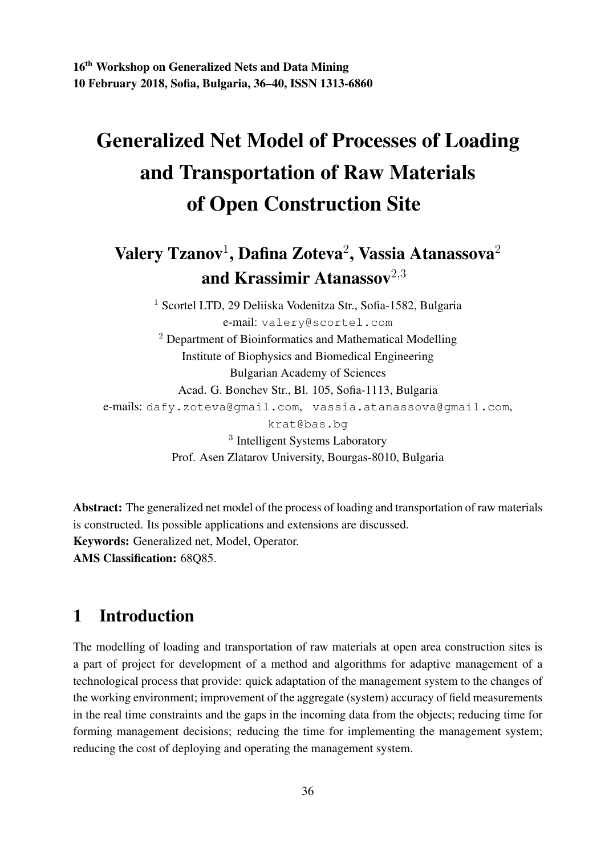# Generalized Net Model of Processes of Loading and Transportation of Raw Materials of Open Construction Site

## Valery Tzanov $^1$ , Dafina Zoteva $^2$ , Vassia Atanassova $^2$ and Krassimir Atanassov $^{2,3}$

<sup>1</sup> Scortel LTD, 29 Deliiska Vodenitza Str., Sofia-1582, Bulgaria e-mail: valery@scortel.com <sup>2</sup> Department of Bioinformatics and Mathematical Modelling Institute of Biophysics and Biomedical Engineering Bulgarian Academy of Sciences Acad. G. Bonchev Str., Bl. 105, Sofia-1113, Bulgaria e-mails: dafy.zoteva@gmail.com, vassia.atanassova@gmail.com, krat@bas.bg <sup>3</sup> Intelligent Systems Laboratory Prof. Asen Zlatarov University, Bourgas-8010, Bulgaria

Abstract: The generalized net model of the process of loading and transportation of raw materials is constructed. Its possible applications and extensions are discussed. Keywords: Generalized net, Model, Operator. AMS Classification: 68Q85.

### 1 Introduction

The modelling of loading and transportation of raw materials at open area construction sites is a part of project for development of a method and algorithms for adaptive management of a technological process that provide: quick adaptation of the management system to the changes of the working environment; improvement of the aggregate (system) accuracy of field measurements in the real time constraints and the gaps in the incoming data from the objects; reducing time for forming management decisions; reducing the time for implementing the management system; reducing the cost of deploying and operating the management system.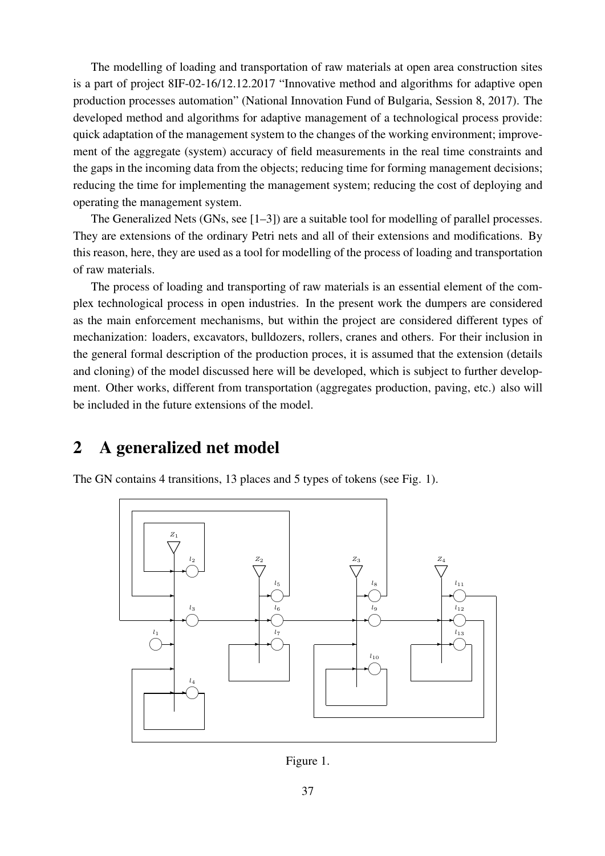The modelling of loading and transportation of raw materials at open area construction sites is a part of project 8IF-02-16/12.12.2017 "Innovative method and algorithms for adaptive open production processes automation" (National Innovation Fund of Bulgaria, Session 8, 2017). The developed method and algorithms for adaptive management of a technological process provide: quick adaptation of the management system to the changes of the working environment; improvement of the aggregate (system) accuracy of field measurements in the real time constraints and the gaps in the incoming data from the objects; reducing time for forming management decisions; reducing the time for implementing the management system; reducing the cost of deploying and operating the management system.

The Generalized Nets (GNs, see [1–3]) are a suitable tool for modelling of parallel processes. They are extensions of the ordinary Petri nets and all of their extensions and modifications. By this reason, here, they are used as a tool for modelling of the process of loading and transportation of raw materials.

The process of loading and transporting of raw materials is an essential element of the complex technological process in open industries. In the present work the dumpers are considered as the main enforcement mechanisms, but within the project are considered different types of mechanization: loaders, excavators, bulldozers, rollers, cranes and others. For their inclusion in the general formal description of the production proces, it is assumed that the extension (details and cloning) of the model discussed here will be developed, which is subject to further development. Other works, different from transportation (aggregates production, paving, etc.) also will be included in the future extensions of the model.

#### 2 A generalized net model

The GN contains 4 transitions, 13 places and 5 types of tokens (see Fig. 1).



Figure 1.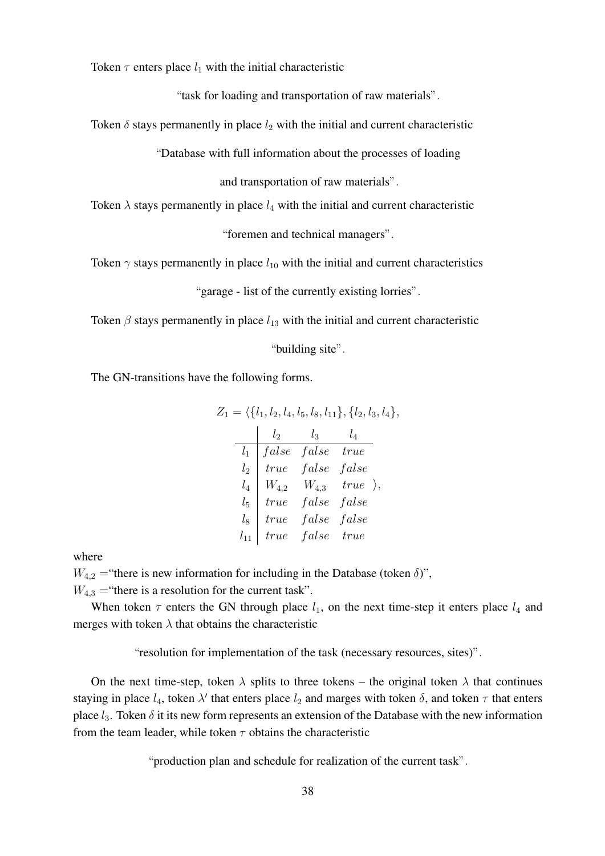Token  $\tau$  enters place  $l_1$  with the initial characteristic

"task for loading and transportation of raw materials".

Token  $\delta$  stays permanently in place  $l_2$  with the initial and current characteristic

"Database with full information about the processes of loading

and transportation of raw materials".

Token  $\lambda$  stays permanently in place  $l_4$  with the initial and current characteristic

"foremen and technical managers".

Token  $\gamma$  stays permanently in place  $l_{10}$  with the initial and current characteristics

"garage - list of the currently existing lorries".

Token  $\beta$  stays permanently in place  $l_{13}$  with the initial and current characteristic

"building site".

The GN-transitions have the following forms.

$$
Z_1 = \langle \{l_1, l_2, l_4, l_5, l_8, l_{11}\}, \{l_2, l_3, l_4\}, \frac{l_2}{l_1} \begin{matrix} l_3 & l_4 \\ false & false & true \end{matrix}
$$
\n
$$
l_2 \begin{matrix} l_1 \\ true & false & false \end{matrix}
$$
\n
$$
l_3 \begin{matrix} l_4 \\ W_{4,2} & W_{4,3} & true \end{matrix}
$$
\n
$$
l_5 \begin{matrix} true & false & false \end{matrix}
$$
\n
$$
l_8 \begin{matrix} true & false & false \end{matrix}
$$
\n
$$
l_9 \begin{matrix} true & false & false \end{matrix}
$$
\n
$$
l_{10} \begin{matrix} true & false & true \end{matrix}
$$

where

 $W_{4,2}$  = "there is new information for including in the Database (token  $\delta$ )",

 $W_{4,3}$  = "there is a resolution for the current task".

When token  $\tau$  enters the GN through place  $l_1$ , on the next time-step it enters place  $l_4$  and merges with token  $\lambda$  that obtains the characteristic

"resolution for implementation of the task (necessary resources, sites)".

On the next time-step, token  $\lambda$  splits to three tokens – the original token  $\lambda$  that continues staying in place  $l_4$ , token  $\lambda'$  that enters place  $l_2$  and marges with token  $\delta$ , and token  $\tau$  that enters place  $l_3$ . Token  $\delta$  it its new form represents an extension of the Database with the new information from the team leader, while token  $\tau$  obtains the characteristic

"production plan and schedule for realization of the current task".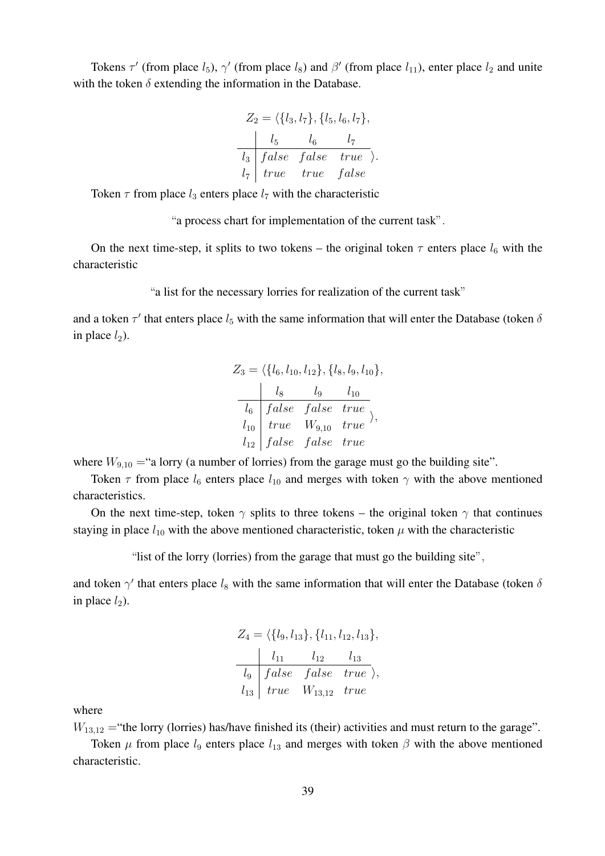Tokens  $\tau'$  (from place  $l_5$ ),  $\gamma'$  (from place  $l_8$ ) and  $\beta'$  (from place  $l_{11}$ ), enter place  $l_2$  and unite with the token  $\delta$  extending the information in the Database.

$$
Z_2 = \langle \{l_3, l_7\}, \{l_5, l_6, l_7\},
$$
  
\n
$$
\begin{array}{c|cc}\n & l_5 & l_6 & l_7 \\
\hline\nl_3 & false & false & true \\
l_7 & true & true & false\n\end{array}
$$

Token  $\tau$  from place  $l_3$  enters place  $l_7$  with the characteristic

"a process chart for implementation of the current task".

On the next time-step, it splits to two tokens – the original token  $\tau$  enters place  $l_6$  with the characteristic

"a list for the necessary lorries for realization of the current task"

and a token  $\tau'$  that enters place  $l_5$  with the same information that will enter the Database (token  $\delta$ in place  $l_2$ ).

$$
Z_3 = \langle \{l_6, l_{10}, l_{12}\}, \{l_8, l_9, l_{10}\}, \frac{l_8}{l_6} \frac{l_9}{false} \frac{l_{10}}{true} \frac{l_{10}}{l_{10}} \frac{true}{true} \rangle, \frac{l_{11}}{l_{12}} \frac{false}{false} \frac{true}{false} true
$$

where  $W_{9,10}$  = "a lorry (a number of lorries) from the garage must go the building site".

Token  $\tau$  from place  $l_6$  enters place  $l_{10}$  and merges with token  $\gamma$  with the above mentioned characteristics.

On the next time-step, token  $\gamma$  splits to three tokens – the original token  $\gamma$  that continues staying in place  $l_{10}$  with the above mentioned characteristic, token  $\mu$  with the characteristic

"list of the lorry (lorries) from the garage that must go the building site",

and token  $\gamma'$  that enters place  $l_8$  with the same information that will enter the Database (token  $\delta$ in place  $l_2$ ).

$$
Z_4 = \langle \{l_9, l_{13}\}, \{l_{11}, l_{12}, l_{13}\},\
$$
  
\n
$$
l_{11} \t l_{12} \t l_{13}
$$
  
\n
$$
l_9 \t false \t false \t true \rangle,
$$
  
\n
$$
l_{13} \t true \t W_{13,12} \t true
$$

where

 $W_{13,12}$  = "the lorry (lorries) has/have finished its (their) activities and must return to the garage".

Token  $\mu$  from place  $l_9$  enters place  $l_{13}$  and merges with token  $\beta$  with the above mentioned characteristic.